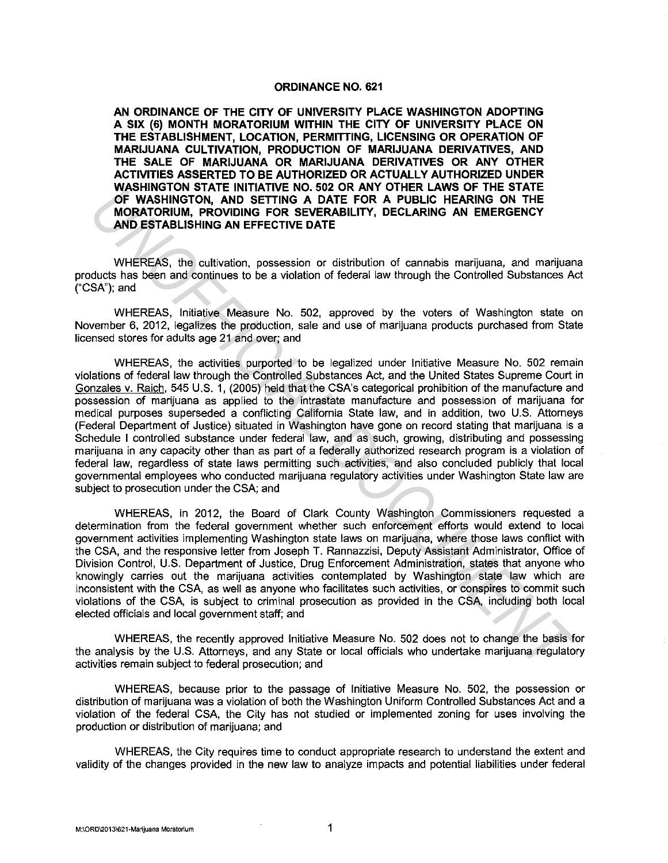## **ORDINANCE NO. 621**

**AN ORDINANCE OF THE CITY OF UNIVERSITY PLACE WASHINGTON ADOPTING A SIX** (6) **MONTH MORATORIUM WITHIN THE CITY OF UNIVERSITY PLACE ON THE ESTABLISHMENT, LOCATION, PERMITTING, LICENSING OR OPERATION OF MARIJUANA CULTIVATION, PRODUCTION OF MARIJUANA DERIVATIVES, AND THE SALE OF MARIJUANA OR MARIJUANA DERIVATIVES OR ANY OTHER ACTIVITIES ASSERTED TO BE AUTHORIZED OR ACTUALLY AUTHORIZED UNDER WASHINGTON STATE INITIATIVE NO. 502 OR ANY OTHER LAWS OF THE STATE OF WASHINGTON, AND SETTING A DATE FOR A PUBLIC HEARING ON THE MORATORIUM, PROVIDING FOR SEVERABILITY, DECLARING AN EMERGENCY AND ESTABLISHING AN EFFECTIVE DATE** 

WHEREAS, the cultivation, possession or distribution of cannabis marijuana, and marijuana products has been and continues to be a violation of federal law through the Controlled Substances Act ("CSA"); and

WHEREAS, Initiative Measure No. 502, approved by the voters of Washington state on November 6, 2012, legalizes the production, sale and use of marijuana products purchased from State licensed stores for adults age 21 and over; and

WHEREAS, the activities purported to be legalized under Initiative Measure No. 502 remain violations of federal law through the Controlled Substances Act, and the United States Supreme Court in Gonzales v. Raich, 545 U.S. 1, (2005) held that the CSA's categorical prohibition of the manufacture and possession of marijuana as applied to the intrastate manufacture and possession of marijuana for medical purposes superseded a conflicting California State law, and in addition, two U.S. Attorneys (Federal Department of Justice) situated in Washington have gone on record stating that marijuana is a Schedule I controlled substance under federal law, and as such, growing, distributing and possessing marijuana in any capacity other than as part of a federally authorized research program is a violation of federal law, regardless of state laws permitting such activities, and also concluded publicly that local governmental employees who conducted marijuana regulatory activities under Washington State law are subject to prosecution under the CSA; and **WHEREAS, In NINTAING NO. SOLON AND STAND ON A SUBLIC HEARING ON THE MORF IRM SIMMOTON, PROVIDING PROT A PUBLIC HEARING ON THE MORF ICRN AND SETTING A DATE FOR A PUBLIC HEARING ON THE MORF ICRN AND ISTIMATE AND SETTING AN** 

WHEREAS, in 2012, the Board of Clark County Washington Commissioners requested a determination from the federal government whether such enforcement efforts would extend to local government activities implementing Washington state laws on marijuana, where those laws conflict with the CSA, and the responsive letter from Joseph T. Rannazzisi, Deputy Assistant Administrator, Office of Division Control, U.S. Department of Justice, Drug Enforcement Administration, states that anyone who knowingly carries out the marijuana activities contemplated by Washington state law which are inconsistent with the CSA, as well as anyone who facilitates such activities, or conspires to commit such violations of the CSA, is subject to criminal prosecution as provided in the CSA, including both local elected officials and local government staff; and

WHEREAS, the recently approved Initiative Measure No. 502 does not to change the basis for the analysis by the U.S. Attorneys, and any State or local officials who undertake marijuana regulatory activities remain subject to federal prosecution; and

WHEREAS, because prior to the passage of Initiative Measure No. 502, the possession or distribution of marijuana was a violation of both the Washington Uniform Controlled Substances Act and a violation of the federal CSA, the City has not studied or implemented zoning for uses involving the production or distribution of marijuana; and

WHEREAS, the City requires time to conduct appropriate research to understand the extent and validity of the changes provided in the new law to analyze impacts and potential liabilities under federal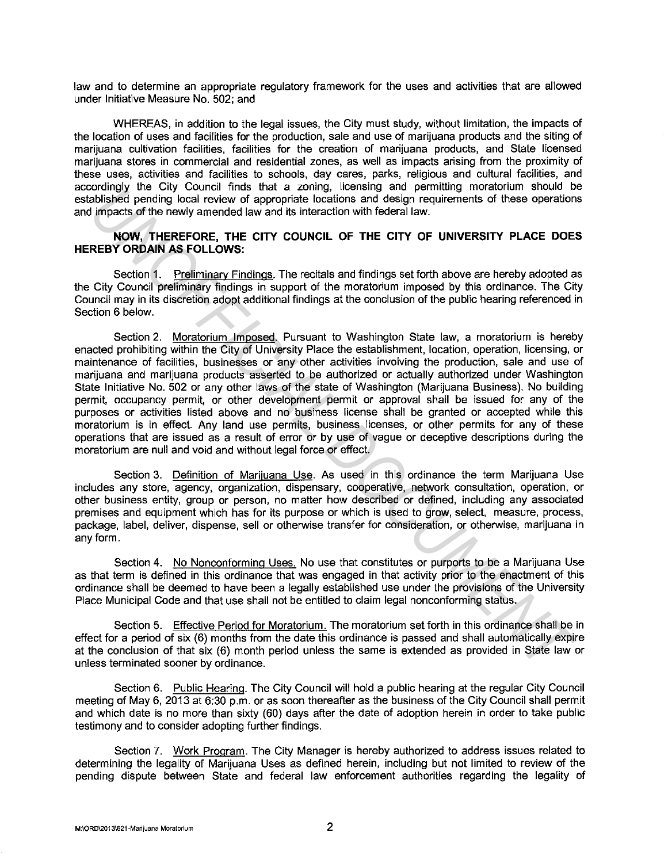law and to determine an appropriate regulatory framework for the uses and activities that are allowed under Initiative Measure No. 502; and

WHEREAS, in addition to the legal issues, the City must study, without limitation, the impacts of the location of uses and facilities for the production, sale and use of marijuana products and the siting of marijuana cultivation facilities, facilities for the creation of marijuana products, and State licensed marijuana stores in commercial and residential zones, as well as impacts arising from the proximity of these uses, activities and facilities to schools, day cares, parks, religious and cultural facilities, and accordingly the City Council finds that a zoning, licensing and permitting moratorium should be established pending local review of appropriate locations and design requirements of these operations and impacts of the newly amended law and its interaction with federal law.

## **NOW, THEREFORE, THE CITY COUNCIL OF THE CITY OF UNIVERSITY PLACE DOES HEREBY ORDAIN AS FOLLOWS:**

Section 1. Preliminary Findings. The recitals and findings set forth above are hereby adopted as the City Council preliminary findings in support of the moratorium imposed by this ordinance. The City Council may in its discretion adopt additional findings at the conclusion of the public hearing referenced in Section 6 below.

Section 2. Moratorium Imposed. Pursuant to Washington State law, a moratorium is hereby enacted prohibiting within the City of University Place the establishment, location, operation, licensing, or maintenance of facilities, businesses or any other activities involving the production, sale and use of marijuana and marijuana products asserted to be authorized or actually authorized under Washington State Initiative No. 502 or any other laws of the state of Washington (Marijuana Business). No building permit, occupancy permit, or other development permit or approval shall be issued for any of the purposes or activities listed above and no business license shall be granted or accepted while this moratorium is in effect. Any land use permits, business licenses, or other permits for any of these operations that are issued as a result of error or by use of vague or deceptive descriptions during the moratorium are null and void and without legal force or effect. covernly the voly countries that a zone of the method of the same of the method of the second ordinates of the newly amended law and its interaction with federal law.<br> **NOW, THEREFORE THE CITY COUNCIL OF THE CITY OF UNIVER** 

Section 3. Definition of Marijuana Use. As used in this ordinance the term Marijuana Use includes any store, agency, organization, dispensary, cooperative, network consultation, operation, or other business entity, group or person, no matter how described or defined, including any associated premises and equipment which has for its purpose or which is used to grow, select, measure, process, package, label, deliver, dispense, sell or otherwise transfer for consideration, or otherwise, marijuana in any form.

Section 4. No Nonconforming Uses. No use that constitutes or purports to be a Marijuana Use as that term is defined in this ordinance that was engaged in that activity prior to the enactment of this ordinance shall be deemed to have been a legally established use under the provisions of the University Place Municipal Code and that use shall not be entitled to claim legal nonconforming status.

Section 5. Effective Period for Moratorium. The moratorium set forth in this ordinance shall be in effect for a period of six (6) months from the date this ordinance is passed and shall automatically expire at the conclusion of that six (6) month period unless the same is extended as provided in State law or unless terminated sooner by ordinance.

Section 6. Public Hearing. The City Council will hold a public hearing at the regular City Council meeting of May 6, 2013 at 6:30 p.m. or as soon thereafter as the business of the City Council shall permit and which date is no more than sixty (60) days after the date of adoption herein in order to take public testimony and to consider adopting further findings.

Section 7. Work Program. The City Manager is hereby authorized to address issues related to determining the legality of Marijuana Uses as defined herein, including but not limited to review of the pending dispute between State and federal law enforcement authorities regarding the legality of